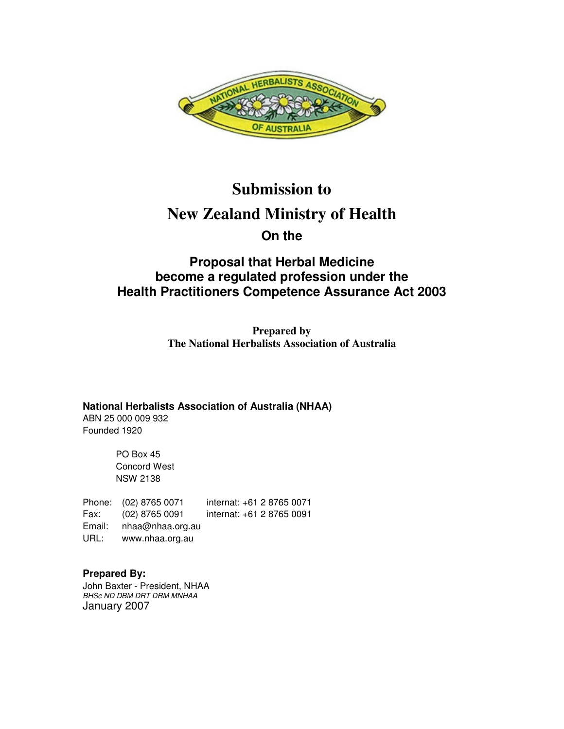

# **Submission to New Zealand Ministry of Health On the**

# **Proposal that Herbal Medicine become a regulated profession under the Health Practitioners Competence Assurance Act 2003**

**Prepared by The National Herbalists Association of Australia** 

**National Herbalists Association of Australia (NHAA)** ABN 25 000 009 932

Founded 1920

PO Box 45 Concord West NSW 2138

Phone: (02) 8765 0071 internat: +61 2 8765 0071 Fax: (02) 8765 0091 internat: +61 2 8765 0091 Email: nhaa@nhaa.org.au URL: www.nhaa.org.au

**Prepared By:**  John Baxter - President, NHAA BHSc ND DBM DRT DRM MNHAA January 2007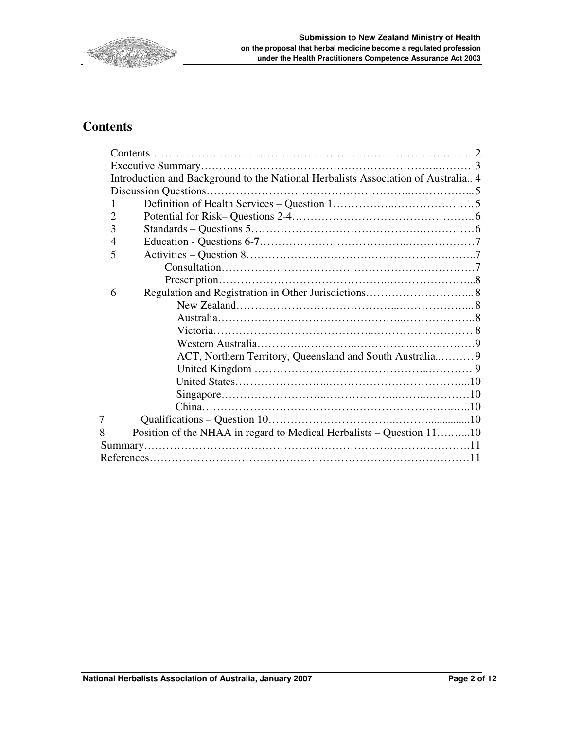

# **Contents**

|   | Introduction and Background to the National Herbalists Association of Australia 4 |  |
|---|-----------------------------------------------------------------------------------|--|
|   |                                                                                   |  |
|   |                                                                                   |  |
| 2 |                                                                                   |  |
| 3 |                                                                                   |  |
| 4 |                                                                                   |  |
| 5 |                                                                                   |  |
|   |                                                                                   |  |
|   |                                                                                   |  |
| 6 |                                                                                   |  |
|   |                                                                                   |  |
|   |                                                                                   |  |
|   |                                                                                   |  |
|   |                                                                                   |  |
|   | ACT, Northern Territory, Queensland and South Australia 9                         |  |
|   |                                                                                   |  |
|   |                                                                                   |  |
|   |                                                                                   |  |
|   |                                                                                   |  |
| 7 |                                                                                   |  |
| 8 | Position of the NHAA in regard to Medical Herbalists – Question 1110              |  |
|   |                                                                                   |  |
|   |                                                                                   |  |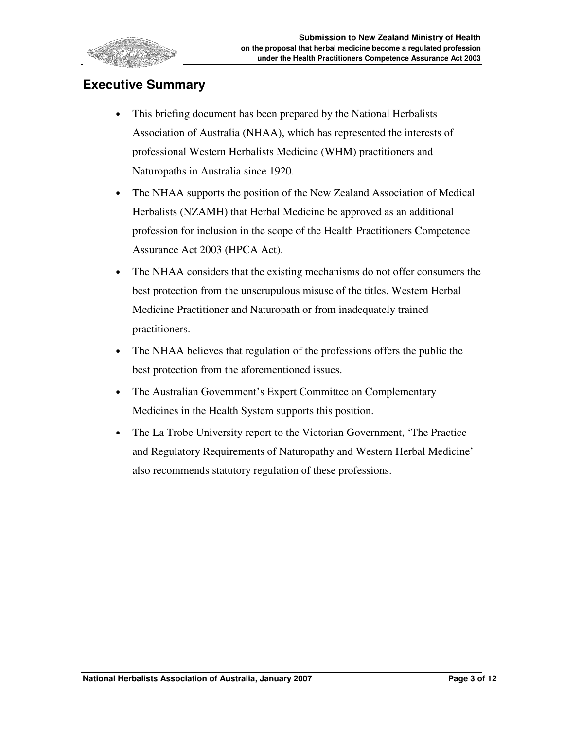

# **Executive Summary**

- This briefing document has been prepared by the National Herbalists Association of Australia (NHAA), which has represented the interests of professional Western Herbalists Medicine (WHM) practitioners and Naturopaths in Australia since 1920.
- The NHAA supports the position of the New Zealand Association of Medical Herbalists (NZAMH) that Herbal Medicine be approved as an additional profession for inclusion in the scope of the Health Practitioners Competence Assurance Act 2003 (HPCA Act).
- The NHAA considers that the existing mechanisms do not offer consumers the best protection from the unscrupulous misuse of the titles, Western Herbal Medicine Practitioner and Naturopath or from inadequately trained practitioners.
- The NHAA believes that regulation of the professions offers the public the best protection from the aforementioned issues.
- The Australian Government's Expert Committee on Complementary Medicines in the Health System supports this position.
- The La Trobe University report to the Victorian Government, 'The Practice' and Regulatory Requirements of Naturopathy and Western Herbal Medicine' also recommends statutory regulation of these professions.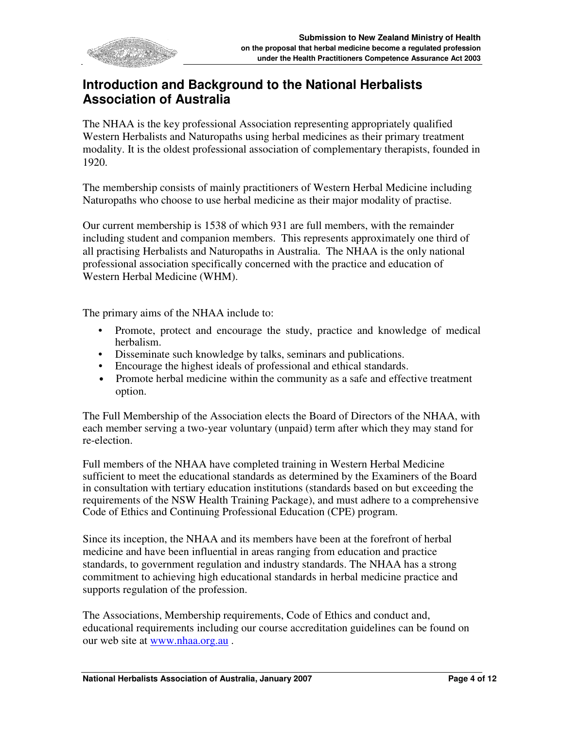

# **Introduction and Background to the National Herbalists Association of Australia**

The NHAA is the key professional Association representing appropriately qualified Western Herbalists and Naturopaths using herbal medicines as their primary treatment modality. It is the oldest professional association of complementary therapists, founded in 1920.

The membership consists of mainly practitioners of Western Herbal Medicine including Naturopaths who choose to use herbal medicine as their major modality of practise.

Our current membership is 1538 of which 931 are full members, with the remainder including student and companion members. This represents approximately one third of all practising Herbalists and Naturopaths in Australia. The NHAA is the only national professional association specifically concerned with the practice and education of Western Herbal Medicine (WHM).

The primary aims of the NHAA include to:

- Promote, protect and encourage the study, practice and knowledge of medical herbalism.
- Disseminate such knowledge by talks, seminars and publications.
- Encourage the highest ideals of professional and ethical standards.
- Promote herbal medicine within the community as a safe and effective treatment option.

The Full Membership of the Association elects the Board of Directors of the NHAA, with each member serving a two-year voluntary (unpaid) term after which they may stand for re-election.

Full members of the NHAA have completed training in Western Herbal Medicine sufficient to meet the educational standards as determined by the Examiners of the Board in consultation with tertiary education institutions (standards based on but exceeding the requirements of the NSW Health Training Package), and must adhere to a comprehensive Code of Ethics and Continuing Professional Education (CPE) program.

Since its inception, the NHAA and its members have been at the forefront of herbal medicine and have been influential in areas ranging from education and practice standards, to government regulation and industry standards. The NHAA has a strong commitment to achieving high educational standards in herbal medicine practice and supports regulation of the profession.

The Associations, Membership requirements, Code of Ethics and conduct and, educational requirements including our course accreditation guidelines can be found on our web site at www.nhaa.org.au .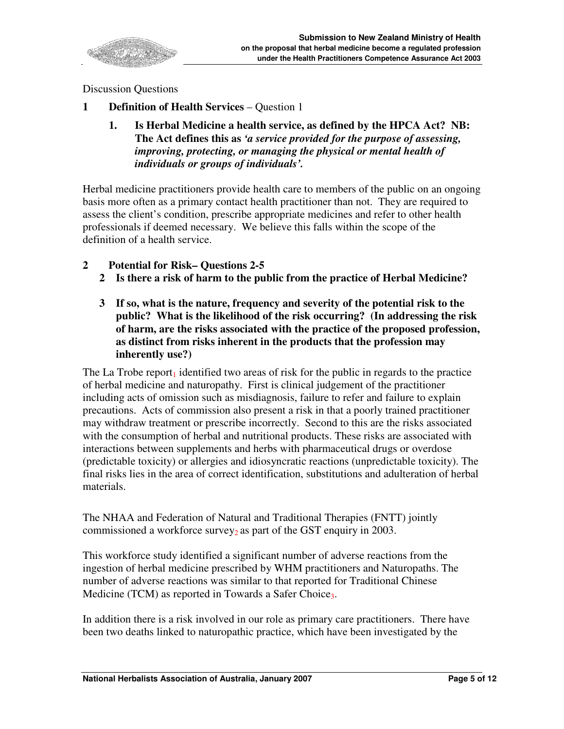

Discussion Questions

- **1 Definition of Health Services**  Question 1
	- **1. Is Herbal Medicine a health service, as defined by the HPCA Act? NB: The Act defines this as** *'a service provided for the purpose of assessing, improving, protecting, or managing the physical or mental health of individuals or groups of individuals'.*

Herbal medicine practitioners provide health care to members of the public on an ongoing basis more often as a primary contact health practitioner than not. They are required to assess the client's condition, prescribe appropriate medicines and refer to other health professionals if deemed necessary. We believe this falls within the scope of the definition of a health service.

- **2 Potential for Risk– Questions 2-5** 
	- **2 Is there a risk of harm to the public from the practice of Herbal Medicine?**
	- **3 If so, what is the nature, frequency and severity of the potential risk to the public? What is the likelihood of the risk occurring? (In addressing the risk of harm, are the risks associated with the practice of the proposed profession, as distinct from risks inherent in the products that the profession may inherently use?)**

The La Trobe report<sub>1</sub> identified two areas of risk for the public in regards to the practice of herbal medicine and naturopathy. First is clinical judgement of the practitioner including acts of omission such as misdiagnosis, failure to refer and failure to explain precautions. Acts of commission also present a risk in that a poorly trained practitioner may withdraw treatment or prescribe incorrectly. Second to this are the risks associated with the consumption of herbal and nutritional products. These risks are associated with interactions between supplements and herbs with pharmaceutical drugs or overdose (predictable toxicity) or allergies and idiosyncratic reactions (unpredictable toxicity). The final risks lies in the area of correct identification, substitutions and adulteration of herbal materials.

The NHAA and Federation of Natural and Traditional Therapies (FNTT) jointly commissioned a workforce survey<sub>2</sub> as part of the GST enquiry in 2003.

This workforce study identified a significant number of adverse reactions from the ingestion of herbal medicine prescribed by WHM practitioners and Naturopaths. The number of adverse reactions was similar to that reported for Traditional Chinese Medicine (TCM) as reported in Towards a Safer Choice.

In addition there is a risk involved in our role as primary care practitioners. There have been two deaths linked to naturopathic practice, which have been investigated by the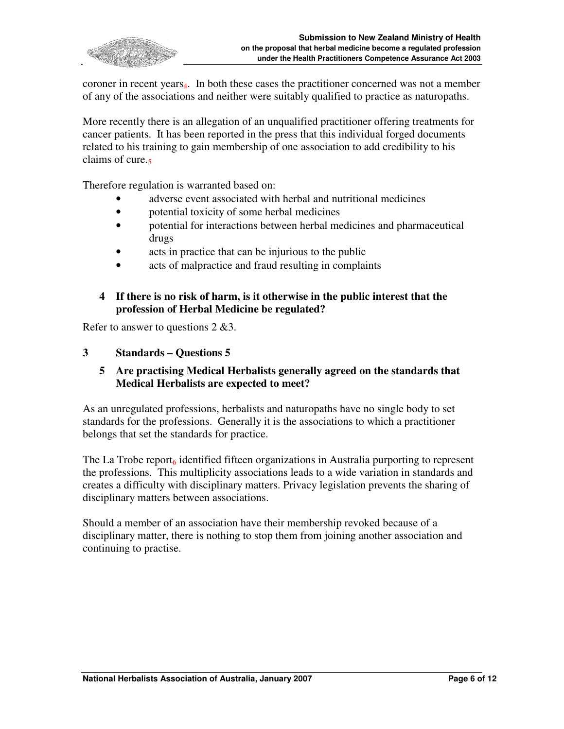

coroner in recent years4. In both these cases the practitioner concerned was not a member of any of the associations and neither were suitably qualified to practice as naturopaths.

More recently there is an allegation of an unqualified practitioner offering treatments for cancer patients. It has been reported in the press that this individual forged documents related to his training to gain membership of one association to add credibility to his claims of cure.

Therefore regulation is warranted based on:

- adverse event associated with herbal and nutritional medicines
- potential toxicity of some herbal medicines
- potential for interactions between herbal medicines and pharmaceutical drugs
- acts in practice that can be injurious to the public
- acts of malpractice and fraud resulting in complaints

#### **4 If there is no risk of harm, is it otherwise in the public interest that the profession of Herbal Medicine be regulated?**

Refer to answer to questions 2 &3.

#### **3 Standards – Questions 5**

#### **5 Are practising Medical Herbalists generally agreed on the standards that Medical Herbalists are expected to meet?**

As an unregulated professions, herbalists and naturopaths have no single body to set standards for the professions. Generally it is the associations to which a practitioner belongs that set the standards for practice.

The La Trobe report<sub>6</sub> identified fifteen organizations in Australia purporting to represent the professions. This multiplicity associations leads to a wide variation in standards and creates a difficulty with disciplinary matters. Privacy legislation prevents the sharing of disciplinary matters between associations.

Should a member of an association have their membership revoked because of a disciplinary matter, there is nothing to stop them from joining another association and continuing to practise.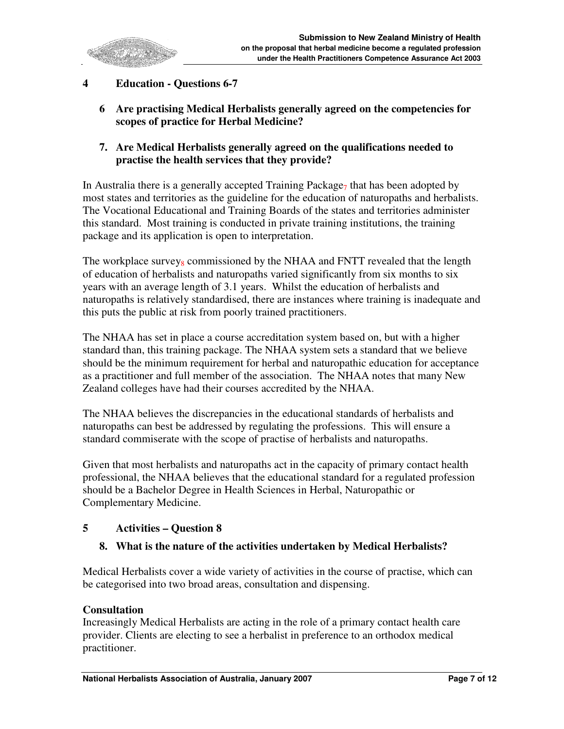

# **4 Education - Questions 6-7**

- **6 Are practising Medical Herbalists generally agreed on the competencies for scopes of practice for Herbal Medicine?**
- **7. Are Medical Herbalists generally agreed on the qualifications needed to practise the health services that they provide?**

In Australia there is a generally accepted Training Package<sub>7</sub> that has been adopted by most states and territories as the guideline for the education of naturopaths and herbalists. The Vocational Educational and Training Boards of the states and territories administer this standard. Most training is conducted in private training institutions, the training package and its application is open to interpretation.

The workplace survey $_8$  commissioned by the NHAA and FNTT revealed that the length of education of herbalists and naturopaths varied significantly from six months to six years with an average length of 3.1 years. Whilst the education of herbalists and naturopaths is relatively standardised, there are instances where training is inadequate and this puts the public at risk from poorly trained practitioners.

The NHAA has set in place a course accreditation system based on, but with a higher standard than, this training package. The NHAA system sets a standard that we believe should be the minimum requirement for herbal and naturopathic education for acceptance as a practitioner and full member of the association. The NHAA notes that many New Zealand colleges have had their courses accredited by the NHAA.

The NHAA believes the discrepancies in the educational standards of herbalists and naturopaths can best be addressed by regulating the professions. This will ensure a standard commiserate with the scope of practise of herbalists and naturopaths.

Given that most herbalists and naturopaths act in the capacity of primary contact health professional, the NHAA believes that the educational standard for a regulated profession should be a Bachelor Degree in Health Sciences in Herbal, Naturopathic or Complementary Medicine.

# **5 Activities – Question 8**

#### **8. What is the nature of the activities undertaken by Medical Herbalists?**

Medical Herbalists cover a wide variety of activities in the course of practise, which can be categorised into two broad areas, consultation and dispensing.

#### **Consultation**

Increasingly Medical Herbalists are acting in the role of a primary contact health care provider. Clients are electing to see a herbalist in preference to an orthodox medical practitioner.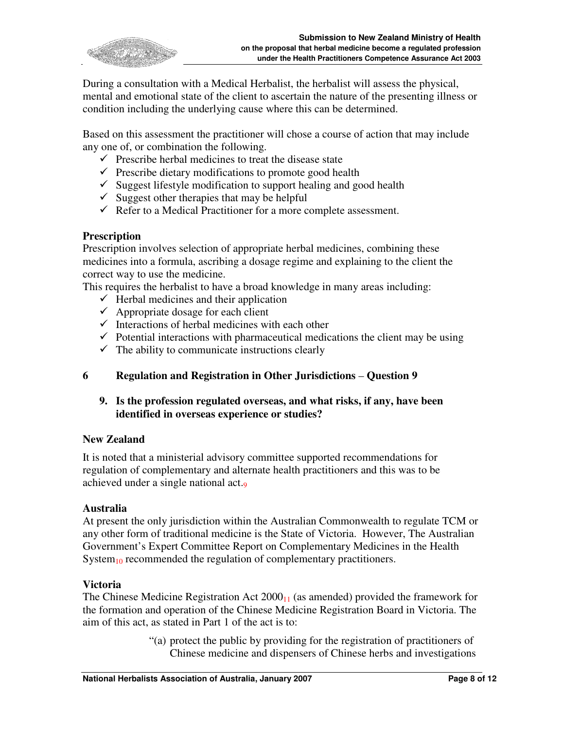

During a consultation with a Medical Herbalist, the herbalist will assess the physical, mental and emotional state of the client to ascertain the nature of the presenting illness or condition including the underlying cause where this can be determined.

Based on this assessment the practitioner will chose a course of action that may include any one of, or combination the following.

- $\checkmark$  Prescribe herbal medicines to treat the disease state
- $\checkmark$  Prescribe dietary modifications to promote good health
- $\checkmark$  Suggest lifestyle modification to support healing and good health
- $\checkmark$  Suggest other therapies that may be helpful
- $\checkmark$  Refer to a Medical Practitioner for a more complete assessment.

#### **Prescription**

Prescription involves selection of appropriate herbal medicines, combining these medicines into a formula, ascribing a dosage regime and explaining to the client the correct way to use the medicine.

This requires the herbalist to have a broad knowledge in many areas including:

- $\checkmark$  Herbal medicines and their application
- $\checkmark$  Appropriate dosage for each client
- $\checkmark$  Interactions of herbal medicines with each other
- $\checkmark$  Potential interactions with pharmaceutical medications the client may be using
- $\checkmark$  The ability to communicate instructions clearly

# **6 Regulation and Registration in Other Jurisdictions** – **Question 9**

**9. Is the profession regulated overseas, and what risks, if any, have been identified in overseas experience or studies?** 

#### **New Zealand**

It is noted that a ministerial advisory committee supported recommendations for regulation of complementary and alternate health practitioners and this was to be achieved under a single national act.<sup>9</sup>

#### **Australia**

At present the only jurisdiction within the Australian Commonwealth to regulate TCM or any other form of traditional medicine is the State of Victoria. However, The Australian Government's Expert Committee Report on Complementary Medicines in the Health System $_{10}$  recommended the regulation of complementary practitioners.

#### **Victoria**

The Chinese Medicine Registration Act  $2000_{11}$  (as amended) provided the framework for the formation and operation of the Chinese Medicine Registration Board in Victoria. The aim of this act, as stated in Part 1 of the act is to:

> "(a) protect the public by providing for the registration of practitioners of Chinese medicine and dispensers of Chinese herbs and investigations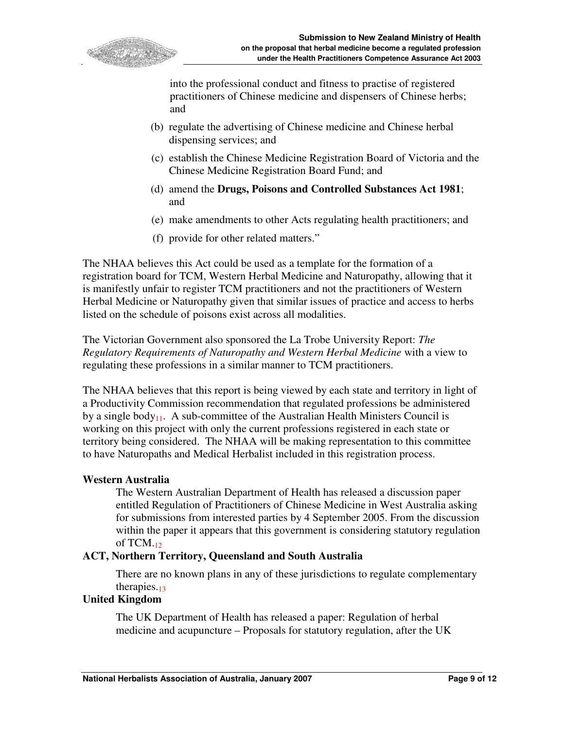

into the professional conduct and fitness to practise of registered practitioners of Chinese medicine and dispensers of Chinese herbs; and

- (b) regulate the advertising of Chinese medicine and Chinese herbal dispensing services; and
- (c) establish the Chinese Medicine Registration Board of Victoria and the Chinese Medicine Registration Board Fund; and
- (d) amend the **Drugs, Poisons and Controlled Substances Act 1981**; and
- (e) make amendments to other Acts regulating health practitioners; and
- (f) provide for other related matters."

The NHAA believes this Act could be used as a template for the formation of a registration board for TCM, Western Herbal Medicine and Naturopathy, allowing that it is manifestly unfair to register TCM practitioners and not the practitioners of Western Herbal Medicine or Naturopathy given that similar issues of practice and access to herbs listed on the schedule of poisons exist across all modalities.

The Victorian Government also sponsored the La Trobe University Report: *The Regulatory Requirements of Naturopathy and Western Herbal Medicine* with a view to regulating these professions in a similar manner to TCM practitioners.

The NHAA believes that this report is being viewed by each state and territory in light of a Productivity Commission recommendation that regulated professions be administered by a single body<sub>11</sub>. A sub-committee of the Australian Health Ministers Council is working on this project with only the current professions registered in each state or territory being considered. The NHAA will be making representation to this committee to have Naturopaths and Medical Herbalist included in this registration process.

#### **Western Australia**

The Western Australian Department of Health has released a discussion paper entitled Regulation of Practitioners of Chinese Medicine in West Australia asking for submissions from interested parties by 4 September 2005. From the discussion within the paper it appears that this government is considering statutory regulation of TCM. $_{12}$ 

#### **ACT, Northern Territory, Queensland and South Australia**

There are no known plans in any of these jurisdictions to regulate complementary therapies. $_{13}$ 

# **United Kingdom**

The UK Department of Health has released a paper: Regulation of herbal medicine and acupuncture – Proposals for statutory regulation, after the UK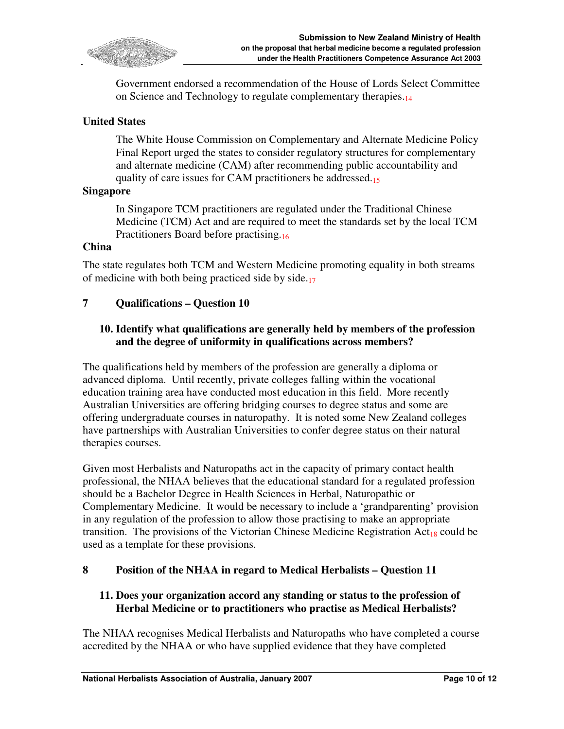

Government endorsed a recommendation of the House of Lords Select Committee on Science and Technology to regulate complementary therapies.<sup>14</sup>

### **United States**

The White House Commission on Complementary and Alternate Medicine Policy Final Report urged the states to consider regulatory structures for complementary and alternate medicine (CAM) after recommending public accountability and quality of care issues for CAM practitioners be addressed.<sup>15</sup>

#### **Singapore**

In Singapore TCM practitioners are regulated under the Traditional Chinese Medicine (TCM) Act and are required to meet the standards set by the local TCM Practitioners Board before practising.<sup>16</sup>

#### **China**

The state regulates both TCM and Western Medicine promoting equality in both streams of medicine with both being practiced side by side.<sup>17</sup>

#### **7 Qualifications – Question 10**

### **10. Identify what qualifications are generally held by members of the profession and the degree of uniformity in qualifications across members?**

The qualifications held by members of the profession are generally a diploma or advanced diploma. Until recently, private colleges falling within the vocational education training area have conducted most education in this field. More recently Australian Universities are offering bridging courses to degree status and some are offering undergraduate courses in naturopathy. It is noted some New Zealand colleges have partnerships with Australian Universities to confer degree status on their natural therapies courses.

Given most Herbalists and Naturopaths act in the capacity of primary contact health professional, the NHAA believes that the educational standard for a regulated profession should be a Bachelor Degree in Health Sciences in Herbal, Naturopathic or Complementary Medicine. It would be necessary to include a 'grandparenting' provision in any regulation of the profession to allow those practising to make an appropriate transition. The provisions of the Victorian Chinese Medicine Registration  $Act_{18}$  could be used as a template for these provisions.

#### **8 Position of the NHAA in regard to Medical Herbalists – Question 11**

#### **11. Does your organization accord any standing or status to the profession of Herbal Medicine or to practitioners who practise as Medical Herbalists?**

The NHAA recognises Medical Herbalists and Naturopaths who have completed a course accredited by the NHAA or who have supplied evidence that they have completed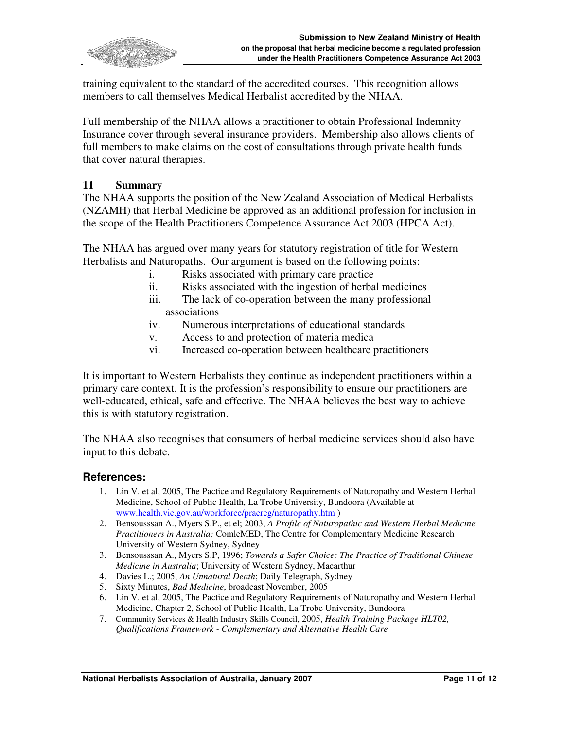

training equivalent to the standard of the accredited courses. This recognition allows members to call themselves Medical Herbalist accredited by the NHAA.

Full membership of the NHAA allows a practitioner to obtain Professional Indemnity Insurance cover through several insurance providers. Membership also allows clients of full members to make claims on the cost of consultations through private health funds that cover natural therapies.

#### **11 Summary**

The NHAA supports the position of the New Zealand Association of Medical Herbalists (NZAMH) that Herbal Medicine be approved as an additional profession for inclusion in the scope of the Health Practitioners Competence Assurance Act 2003 (HPCA Act).

The NHAA has argued over many years for statutory registration of title for Western Herbalists and Naturopaths. Our argument is based on the following points:

- i. Risks associated with primary care practice
- ii. Risks associated with the ingestion of herbal medicines
- iii. The lack of co-operation between the many professional associations
- iv. Numerous interpretations of educational standards
- v. Access to and protection of materia medica
- vi. Increased co-operation between healthcare practitioners

It is important to Western Herbalists they continue as independent practitioners within a primary care context. It is the profession's responsibility to ensure our practitioners are well-educated, ethical, safe and effective. The NHAA believes the best way to achieve this is with statutory registration.

The NHAA also recognises that consumers of herbal medicine services should also have input to this debate.

# **References:**

- 1. Lin V. et al, 2005, The Pactice and Regulatory Requirements of Naturopathy and Western Herbal Medicine, School of Public Health, La Trobe University, Bundoora (Available at www.health.vic.gov.au/workforce/pracreg/naturopathy.htm )
- 2. Bensousssan A., Myers S.P., et el; 2003, *A Profile of Naturopathic and Western Herbal Medicine Practitioners in Australia;* ComleMED, The Centre for Complementary Medicine Research University of Western Sydney, Sydney
- 3. Bensousssan A., Myers S.P, 1996; *Towards a Safer Choice; The Practice of Traditional Chinese Medicine in Australia*; University of Western Sydney, Macarthur
- 4. Davies L.; 2005, *An Unnatural Death*; Daily Telegraph, Sydney
- 5. Sixty Minutes, *Bad Medicine*, broadcast November, 2005
- 6. Lin V. et al, 2005, The Pactice and Regulatory Requirements of Naturopathy and Western Herbal Medicine, Chapter 2, School of Public Health, La Trobe University, Bundoora
- 7. Community Services & Health Industry Skills Council, 2005, *Health Training Package HLT02, Qualifications Framework - Complementary and Alternative Health Care*